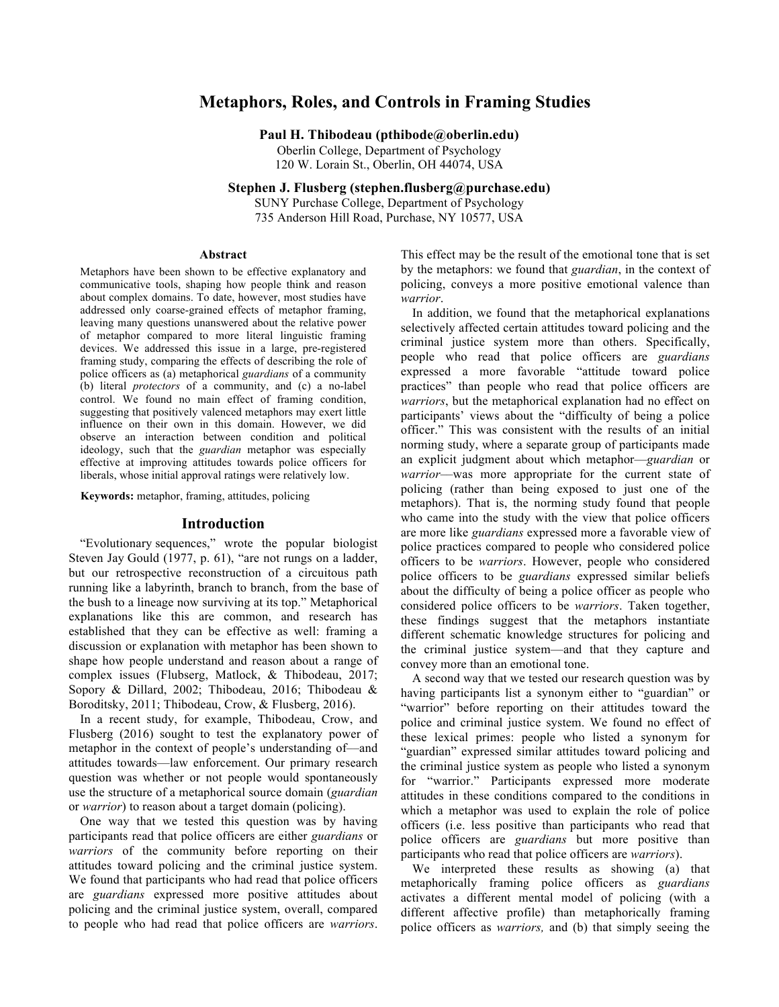# **Metaphors, Roles, and Controls in Framing Studies**

**Paul H. Thibodeau (pthibode@oberlin.edu)**

Oberlin College, Department of Psychology 120 W. Lorain St., Oberlin, OH 44074, USA

**Stephen J. Flusberg (stephen.flusberg@purchase.edu)**

SUNY Purchase College, Department of Psychology 735 Anderson Hill Road, Purchase, NY 10577, USA

#### **Abstract**

Metaphors have been shown to be effective explanatory and communicative tools, shaping how people think and reason about complex domains. To date, however, most studies have addressed only coarse-grained effects of metaphor framing, leaving many questions unanswered about the relative power of metaphor compared to more literal linguistic framing devices. We addressed this issue in a large, pre-registered framing study, comparing the effects of describing the role of police officers as (a) metaphorical *guardians* of a community (b) literal *protectors* of a community, and (c) a no-label control. We found no main effect of framing condition, suggesting that positively valenced metaphors may exert little influence on their own in this domain. However, we did observe an interaction between condition and political ideology, such that the *guardian* metaphor was especially effective at improving attitudes towards police officers for liberals, whose initial approval ratings were relatively low.

**Keywords:** metaphor, framing, attitudes, policing

## **Introduction**

"Evolutionary sequences," wrote the popular biologist Steven Jay Gould (1977, p. 61), "are not rungs on a ladder, but our retrospective reconstruction of a circuitous path running like a labyrinth, branch to branch, from the base of the bush to a lineage now surviving at its top." Metaphorical explanations like this are common, and research has established that they can be effective as well: framing a discussion or explanation with metaphor has been shown to shape how people understand and reason about a range of complex issues (Flubserg, Matlock, & Thibodeau, 2017; Sopory & Dillard, 2002; Thibodeau, 2016; Thibodeau & Boroditsky, 2011; Thibodeau, Crow, & Flusberg, 2016).

In a recent study, for example, Thibodeau, Crow, and Flusberg (2016) sought to test the explanatory power of metaphor in the context of people's understanding of—and attitudes towards––law enforcement. Our primary research question was whether or not people would spontaneously use the structure of a metaphorical source domain (*guardian* or *warrior*) to reason about a target domain (policing).

One way that we tested this question was by having participants read that police officers are either *guardians* or *warriors* of the community before reporting on their attitudes toward policing and the criminal justice system. We found that participants who had read that police officers are *guardians* expressed more positive attitudes about policing and the criminal justice system, overall, compared to people who had read that police officers are *warriors*. This effect may be the result of the emotional tone that is set by the metaphors: we found that *guardian*, in the context of policing, conveys a more positive emotional valence than *warrior*.

In addition, we found that the metaphorical explanations selectively affected certain attitudes toward policing and the criminal justice system more than others. Specifically, people who read that police officers are *guardians* expressed a more favorable "attitude toward police practices" than people who read that police officers are *warriors*, but the metaphorical explanation had no effect on participants' views about the "difficulty of being a police officer." This was consistent with the results of an initial norming study, where a separate group of participants made an explicit judgment about which metaphor––*guardian* or *warrior*––was more appropriate for the current state of policing (rather than being exposed to just one of the metaphors). That is, the norming study found that people who came into the study with the view that police officers are more like *guardians* expressed more a favorable view of police practices compared to people who considered police officers to be *warriors*. However, people who considered police officers to be *guardians* expressed similar beliefs about the difficulty of being a police officer as people who considered police officers to be *warriors*. Taken together, these findings suggest that the metaphors instantiate different schematic knowledge structures for policing and the criminal justice system—and that they capture and convey more than an emotional tone.

A second way that we tested our research question was by having participants list a synonym either to "guardian" or "warrior" before reporting on their attitudes toward the police and criminal justice system. We found no effect of these lexical primes: people who listed a synonym for "guardian" expressed similar attitudes toward policing and the criminal justice system as people who listed a synonym for "warrior." Participants expressed more moderate attitudes in these conditions compared to the conditions in which a metaphor was used to explain the role of police officers (i.e. less positive than participants who read that police officers are *guardians* but more positive than participants who read that police officers are *warriors*).

We interpreted these results as showing (a) that metaphorically framing police officers as *guardians* activates a different mental model of policing (with a different affective profile) than metaphorically framing police officers as *warriors,* and (b) that simply seeing the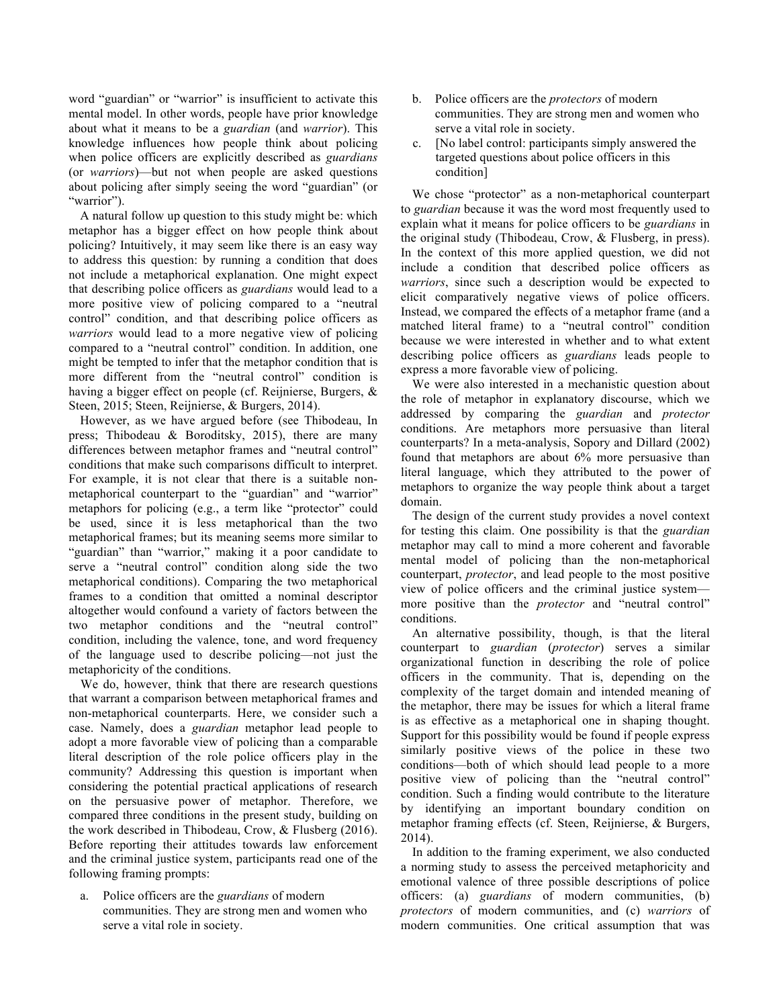word "guardian" or "warrior" is insufficient to activate this mental model. In other words, people have prior knowledge about what it means to be a *guardian* (and *warrior*). This knowledge influences how people think about policing when police officers are explicitly described as *guardians* (or *warriors*)—but not when people are asked questions about policing after simply seeing the word "guardian" (or "warrior").

A natural follow up question to this study might be: which metaphor has a bigger effect on how people think about policing? Intuitively, it may seem like there is an easy way to address this question: by running a condition that does not include a metaphorical explanation. One might expect that describing police officers as *guardians* would lead to a more positive view of policing compared to a "neutral control" condition, and that describing police officers as *warriors* would lead to a more negative view of policing compared to a "neutral control" condition. In addition, one might be tempted to infer that the metaphor condition that is more different from the "neutral control" condition is having a bigger effect on people (cf. Reijnierse, Burgers, & Steen, 2015; Steen, Reijnierse, & Burgers, 2014).

However, as we have argued before (see Thibodeau, In press; Thibodeau & Boroditsky, 2015), there are many differences between metaphor frames and "neutral control" conditions that make such comparisons difficult to interpret. For example, it is not clear that there is a suitable nonmetaphorical counterpart to the "guardian" and "warrior" metaphors for policing (e.g., a term like "protector" could be used, since it is less metaphorical than the two metaphorical frames; but its meaning seems more similar to "guardian" than "warrior," making it a poor candidate to serve a "neutral control" condition along side the two metaphorical conditions). Comparing the two metaphorical frames to a condition that omitted a nominal descriptor altogether would confound a variety of factors between the two metaphor conditions and the "neutral control" condition, including the valence, tone, and word frequency of the language used to describe policing—not just the metaphoricity of the conditions.

We do, however, think that there are research questions that warrant a comparison between metaphorical frames and non-metaphorical counterparts. Here, we consider such a case. Namely, does a *guardian* metaphor lead people to adopt a more favorable view of policing than a comparable literal description of the role police officers play in the community? Addressing this question is important when considering the potential practical applications of research on the persuasive power of metaphor. Therefore, we compared three conditions in the present study, building on the work described in Thibodeau, Crow, & Flusberg (2016). Before reporting their attitudes towards law enforcement and the criminal justice system, participants read one of the following framing prompts:

a. Police officers are the *guardians* of modern communities. They are strong men and women who serve a vital role in society.

- b. Police officers are the *protectors* of modern communities. They are strong men and women who serve a vital role in society.
- c. [No label control: participants simply answered the targeted questions about police officers in this condition]

We chose "protector" as a non-metaphorical counterpart to *guardian* because it was the word most frequently used to explain what it means for police officers to be *guardians* in the original study (Thibodeau, Crow, & Flusberg, in press). In the context of this more applied question, we did not include a condition that described police officers as *warriors*, since such a description would be expected to elicit comparatively negative views of police officers. Instead, we compared the effects of a metaphor frame (and a matched literal frame) to a "neutral control" condition because we were interested in whether and to what extent describing police officers as *guardians* leads people to express a more favorable view of policing.

We were also interested in a mechanistic question about the role of metaphor in explanatory discourse, which we addressed by comparing the *guardian* and *protector* conditions. Are metaphors more persuasive than literal counterparts? In a meta-analysis, Sopory and Dillard (2002) found that metaphors are about 6% more persuasive than literal language, which they attributed to the power of metaphors to organize the way people think about a target domain.

The design of the current study provides a novel context for testing this claim. One possibility is that the *guardian*  metaphor may call to mind a more coherent and favorable mental model of policing than the non-metaphorical counterpart, *protector*, and lead people to the most positive view of police officers and the criminal justice system more positive than the *protector* and "neutral control" conditions.

An alternative possibility, though, is that the literal counterpart to *guardian* (*protector*) serves a similar organizational function in describing the role of police officers in the community. That is, depending on the complexity of the target domain and intended meaning of the metaphor, there may be issues for which a literal frame is as effective as a metaphorical one in shaping thought. Support for this possibility would be found if people express similarly positive views of the police in these two conditions—both of which should lead people to a more positive view of policing than the "neutral control" condition. Such a finding would contribute to the literature by identifying an important boundary condition on metaphor framing effects (cf. Steen, Reijnierse, & Burgers, 2014).

In addition to the framing experiment, we also conducted a norming study to assess the perceived metaphoricity and emotional valence of three possible descriptions of police officers: (a) *guardians* of modern communities, (b) *protectors* of modern communities, and (c) *warriors* of modern communities. One critical assumption that was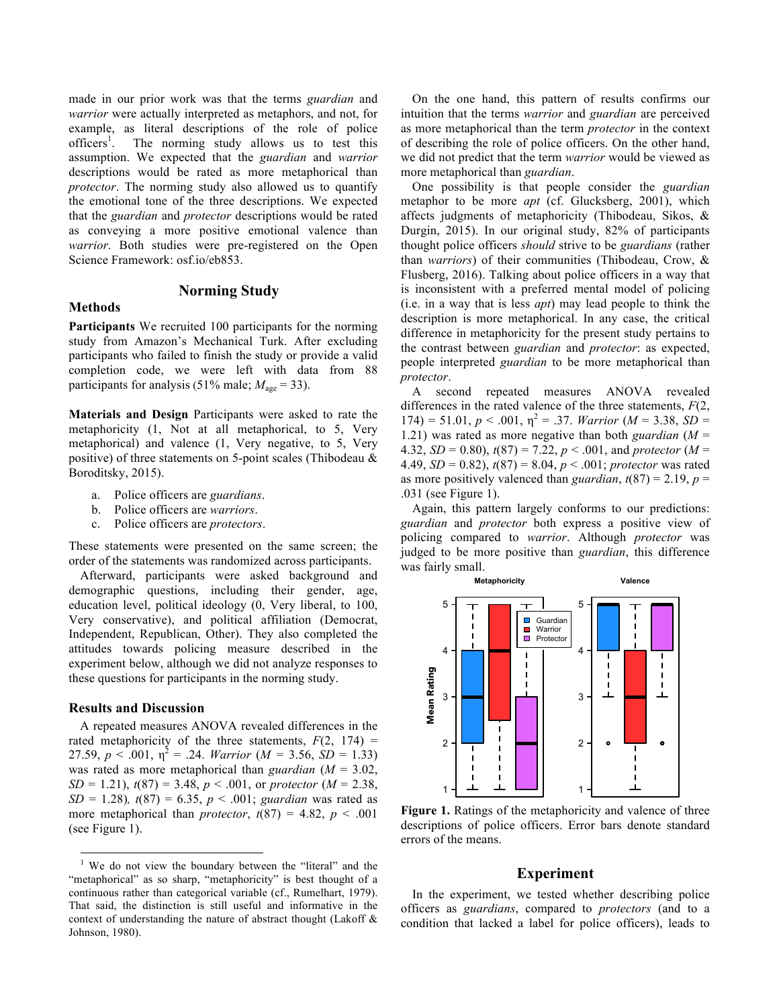made in our prior work was that the terms *guardian* and *warrior* were actually interpreted as metaphors, and not, for example, as literal descriptions of the role of police  $officers<sup>1</sup>$ . . The norming study allows us to test this assumption. We expected that the *guardian* and *warrior* descriptions would be rated as more metaphorical than *protector*. The norming study also allowed us to quantify the emotional tone of the three descriptions. We expected that the *guardian* and *protector* descriptions would be rated as conveying a more positive emotional valence than *warrior*. Both studies were pre-registered on the Open Science Framework: osf.io/eb853.

## **Norming Study**

## **Methods**

**Participants** We recruited 100 participants for the norming study from Amazon's Mechanical Turk. After excluding participants who failed to finish the study or provide a valid completion code, we were left with data from 88 participants for analysis (51% male;  $M_{\text{age}} = 33$ ).

**Materials and Design** Participants were asked to rate the metaphoricity (1, Not at all metaphorical, to 5, Very metaphorical) and valence (1, Very negative, to 5, Very positive) of three statements on 5-point scales (Thibodeau & Boroditsky, 2015).

- a. Police officers are *guardians*.
- b. Police officers are *warriors*.
- c. Police officers are *protectors*.

These statements were presented on the same screen; the order of the statements was randomized across participants.

Afterward, participants were asked background and demographic questions, including their gender, age, education level, political ideology (0, Very liberal, to 100, Very conservative), and political affiliation (Democrat, Independent, Republican, Other). They also completed the attitudes towards policing measure described in the experiment below, although we did not analyze responses to these questions for participants in the norming study.

#### **Results and Discussion**

A repeated measures ANOVA revealed differences in the rated metaphoricity of the three statements,  $F(2, 174) =$ 27.59,  $p < .001$ ,  $\eta^2 = .24$ . *Warrior* (*M = 3.56*, *SD = 1.33*) was rated as more metaphorical than *guardian* (*M* = 3.02, *SD* = 1.21),  $t(87) = 3.48$ ,  $p < .001$ , or *protector* (*M* = 2.38, *SD* = 1.28)*, t*(87) = 6.35, *p* < .001; *guardian* was rated as more metaphorical than *protector*,  $t(87) = 4.82$ ,  $p < .001$ (see Figure 1).

On the one hand, this pattern of results confirms our intuition that the terms *warrior* and *guardian* are perceived as more metaphorical than the term *protector* in the context of describing the role of police officers. On the other hand, we did not predict that the term *warrior* would be viewed as more metaphorical than *guardian*.

One possibility is that people consider the *guardian* metaphor to be more *apt* (cf. Glucksberg, 2001), which affects judgments of metaphoricity (Thibodeau, Sikos, & Durgin, 2015). In our original study, 82% of participants thought police officers *should* strive to be *guardians* (rather than *warriors*) of their communities (Thibodeau, Crow, & Flusberg, 2016). Talking about police officers in a way that is inconsistent with a preferred mental model of policing (i.e. in a way that is less *apt*) may lead people to think the description is more metaphorical. In any case, the critical difference in metaphoricity for the present study pertains to the contrast between *guardian* and *protector*: as expected, people interpreted *guardian* to be more metaphorical than *protector*.

A second repeated measures ANOVA revealed differences in the rated valence of the three statements, *F*(2,  $174$ ) = 51.01, *p* < .001,  $\eta^2$  = .37. *Warrior* (*M* = 3.38, *SD* = 1.21) was rated as more negative than both *guardian* (*M* = 4.32, *SD* = 0.80), *t*(87) = 7.22, *p* < .001, and *protector* (*M* = 4.49, *SD* = 0.82), *t*(87) = 8.04, *p* < .001; *protector* was rated as more positively valenced than *guardian*,  $t(87) = 2.19$ ,  $p =$ .031 (see Figure 1).

Again, this pattern largely conforms to our predictions: *guardian* and *protector* both express a positive view of policing compared to *warrior*. Although *protector* was judged to be more positive than *guardian*, this difference was fairly small.



Figure 1. Ratings of the metaphoricity and valence of three descriptions of police officers. Error bars denote standard errors of the means.

## **Experiment**

In the experiment, we tested whether describing police officers as *guardians*, compared to *protectors* (and to a condition that lacked a label for police officers), leads to

<sup>&</sup>lt;sup>1</sup> We do not view the boundary between the "literal" and the "metaphorical" as so sharp, "metaphoricity" is best thought of a continuous rather than categorical variable (cf., Rumelhart, 1979). That said, the distinction is still useful and informative in the context of understanding the nature of abstract thought (Lakoff & Johnson, 1980).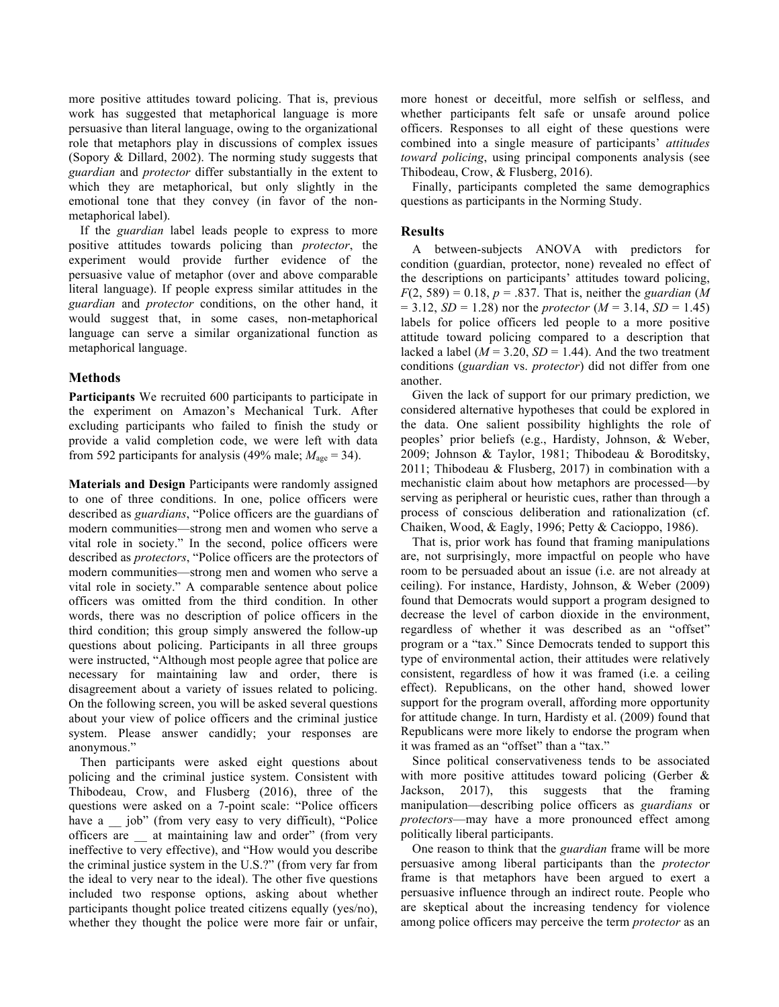more positive attitudes toward policing. That is, previous work has suggested that metaphorical language is more persuasive than literal language, owing to the organizational role that metaphors play in discussions of complex issues (Sopory & Dillard, 2002). The norming study suggests that *guardian* and *protector* differ substantially in the extent to which they are metaphorical, but only slightly in the emotional tone that they convey (in favor of the nonmetaphorical label).

If the *guardian* label leads people to express to more positive attitudes towards policing than *protector*, the experiment would provide further evidence of the persuasive value of metaphor (over and above comparable literal language). If people express similar attitudes in the *guardian* and *protector* conditions, on the other hand, it would suggest that, in some cases, non-metaphorical language can serve a similar organizational function as metaphorical language.

## **Methods**

**Participants** We recruited 600 participants to participate in the experiment on Amazon's Mechanical Turk. After excluding participants who failed to finish the study or provide a valid completion code, we were left with data from 592 participants for analysis (49% male;  $M_{\text{age}} = 34$ ).

**Materials and Design** Participants were randomly assigned to one of three conditions. In one, police officers were described as *guardians*, "Police officers are the guardians of modern communities—strong men and women who serve a vital role in society." In the second, police officers were described as *protectors*, "Police officers are the protectors of modern communities—strong men and women who serve a vital role in society." A comparable sentence about police officers was omitted from the third condition. In other words, there was no description of police officers in the third condition; this group simply answered the follow-up questions about policing. Participants in all three groups were instructed, "Although most people agree that police are necessary for maintaining law and order, there is disagreement about a variety of issues related to policing. On the following screen, you will be asked several questions about your view of police officers and the criminal justice system. Please answer candidly; your responses are anonymous."

Then participants were asked eight questions about policing and the criminal justice system. Consistent with Thibodeau, Crow, and Flusberg (2016), three of the questions were asked on a 7-point scale: "Police officers have a \_\_\_ job" (from very easy to very difficult), "Police officers are \_\_ at maintaining law and order" (from very ineffective to very effective), and "How would you describe the criminal justice system in the U.S.?" (from very far from the ideal to very near to the ideal). The other five questions included two response options, asking about whether participants thought police treated citizens equally (yes/no), whether they thought the police were more fair or unfair, more honest or deceitful, more selfish or selfless, and whether participants felt safe or unsafe around police officers. Responses to all eight of these questions were combined into a single measure of participants' *attitudes toward policing*, using principal components analysis (see Thibodeau, Crow, & Flusberg, 2016).

Finally, participants completed the same demographics questions as participants in the Norming Study.

## **Results**

A between-subjects ANOVA with predictors for condition (guardian, protector, none) revealed no effect of the descriptions on participants' attitudes toward policing,  $F(2, 589) = 0.18$ ,  $p = .837$ . That is, neither the *guardian* (*M*  $= 3.12, SD = 1.28$  nor the *protector* ( $M = 3.14, SD = 1.45$ ) labels for police officers led people to a more positive attitude toward policing compared to a description that lacked a label ( $M = 3.20$ ,  $SD = 1.44$ ). And the two treatment conditions (*guardian* vs. *protector*) did not differ from one another.

Given the lack of support for our primary prediction, we considered alternative hypotheses that could be explored in the data. One salient possibility highlights the role of peoples' prior beliefs (e.g., Hardisty, Johnson, & Weber, 2009; Johnson & Taylor, 1981; Thibodeau & Boroditsky, 2011; Thibodeau & Flusberg, 2017) in combination with a mechanistic claim about how metaphors are processed—by serving as peripheral or heuristic cues, rather than through a process of conscious deliberation and rationalization (cf. Chaiken, Wood, & Eagly, 1996; Petty & Cacioppo, 1986).

That is, prior work has found that framing manipulations are, not surprisingly, more impactful on people who have room to be persuaded about an issue (i.e. are not already at ceiling). For instance, Hardisty, Johnson, & Weber (2009) found that Democrats would support a program designed to decrease the level of carbon dioxide in the environment, regardless of whether it was described as an "offset" program or a "tax." Since Democrats tended to support this type of environmental action, their attitudes were relatively consistent, regardless of how it was framed (i.e. a ceiling effect). Republicans, on the other hand, showed lower support for the program overall, affording more opportunity for attitude change. In turn, Hardisty et al. (2009) found that Republicans were more likely to endorse the program when it was framed as an "offset" than a "tax."

Since political conservativeness tends to be associated with more positive attitudes toward policing (Gerber & Jackson, 2017), this suggests that the framing manipulation—describing police officers as *guardians* or *protectors*—may have a more pronounced effect among politically liberal participants.

One reason to think that the *guardian* frame will be more persuasive among liberal participants than the *protector* frame is that metaphors have been argued to exert a persuasive influence through an indirect route. People who are skeptical about the increasing tendency for violence among police officers may perceive the term *protector* as an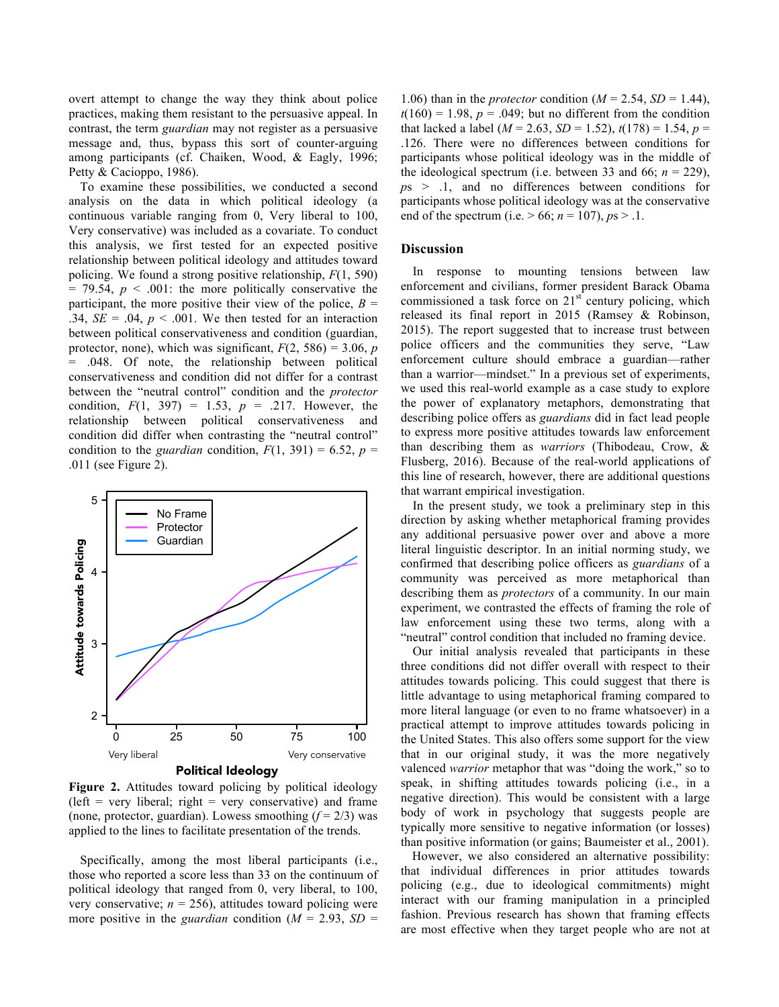overt attempt to change the way they think about police practices, making them resistant to the persuasive appeal. In contrast, the term *guardian* may not register as a persuasive message and, thus, bypass this sort of counter-arguing among participants (cf. Chaiken, Wood, & Eagly, 1996; Petty & Cacioppo, 1986).

To examine these possibilities, we conducted a second analysis on the data in which political ideology (a continuous variable ranging from 0, Very liberal to 100, Very conservative) was included as a covariate. To conduct this analysis, we first tested for an expected positive relationship between political ideology and attitudes toward policing. We found a strong positive relationship, *F*(1, 590)  $= 79.54$ ,  $p < .001$ : the more politically conservative the participant, the more positive their view of the police,  $B =$ .34,  $SE = .04$ ,  $p < .001$ . We then tested for an interaction between political conservativeness and condition (guardian, protector, none), which was significant,  $F(2, 586) = 3.06$ , *p* = .048. Of note, the relationship between political conservativeness and condition did not differ for a contrast between the "neutral control" condition and the *protector*  condition,  $F(1, 397) = 1.53$ ,  $p = .217$ . However, the relationship between political conservativeness and condition did differ when contrasting the "neutral control" condition to the *guardian* condition,  $F(1, 391) = 6.52$ ,  $p =$ .011 (see Figure 2).



Political Ideology

Figure 2. Attitudes toward policing by political ideology  $(left = very liberal; right = very conservative)$  and frame (none, protector, guardian). Lowess smoothing  $(f = 2/3)$  was applied to the lines to facilitate presentation of the trends.

Specifically, among the most liberal participants (i.e., those who reported a score less than 33 on the continuum of political ideology that ranged from 0, very liberal, to 100, very conservative;  $n = 256$ ), attitudes toward policing were more positive in the *guardian* condition ( $M = 2.93$ ,  $SD =$ 

1.06) than in the *protector* condition ( $M = 2.54$ ,  $SD = 1.44$ ),  $t(160) = 1.98$ ,  $p = .049$ ; but no different from the condition that lacked a label ( $M = 2.63$ ,  $SD = 1.52$ ),  $t(178) = 1.54$ ,  $p =$ .126. There were no differences between conditions for participants whose political ideology was in the middle of the ideological spectrum (i.e. between 33 and 66;  $n = 229$ ), *p*s > .1, and no differences between conditions for participants whose political ideology was at the conservative end of the spectrum (i.e.  $> 66$ ;  $n = 107$ ),  $ps > 0.1$ .

## **Discussion**

In response to mounting tensions between law enforcement and civilians, former president Barack Obama commissioned a task force on  $21<sup>st</sup>$  century policing, which released its final report in 2015 (Ramsey & Robinson, 2015). The report suggested that to increase trust between police officers and the communities they serve, "Law enforcement culture should embrace a guardian––rather than a warrior––mindset." In a previous set of experiments, we used this real-world example as a case study to explore the power of explanatory metaphors, demonstrating that describing police offers as *guardians* did in fact lead people to express more positive attitudes towards law enforcement than describing them as *warriors* (Thibodeau, Crow, & Flusberg, 2016). Because of the real-world applications of this line of research, however, there are additional questions that warrant empirical investigation.

In the present study, we took a preliminary step in this direction by asking whether metaphorical framing provides any additional persuasive power over and above a more literal linguistic descriptor. In an initial norming study, we confirmed that describing police officers as *guardians* of a community was perceived as more metaphorical than describing them as *protectors* of a community. In our main experiment, we contrasted the effects of framing the role of law enforcement using these two terms, along with a "neutral" control condition that included no framing device.

Our initial analysis revealed that participants in these three conditions did not differ overall with respect to their attitudes towards policing. This could suggest that there is little advantage to using metaphorical framing compared to more literal language (or even to no frame whatsoever) in a practical attempt to improve attitudes towards policing in the United States. This also offers some support for the view that in our original study, it was the more negatively valenced *warrior* metaphor that was "doing the work," so to speak, in shifting attitudes towards policing (i.e., in a negative direction). This would be consistent with a large body of work in psychology that suggests people are typically more sensitive to negative information (or losses) than positive information (or gains; Baumeister et al., 2001).

However, we also considered an alternative possibility: that individual differences in prior attitudes towards policing (e.g., due to ideological commitments) might interact with our framing manipulation in a principled fashion. Previous research has shown that framing effects are most effective when they target people who are not at